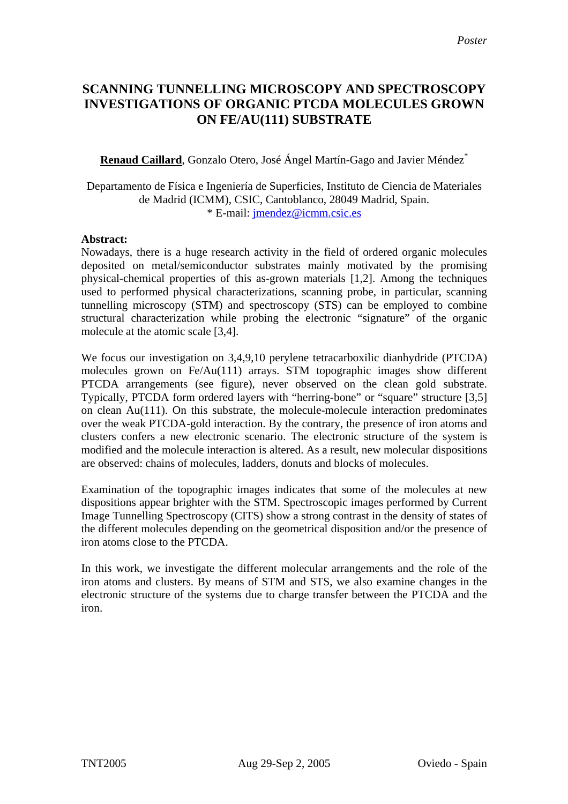# **SCANNING TUNNELLING MICROSCOPY AND SPECTROSCOPY INVESTIGATIONS OF ORGANIC PTCDA MOLECULES GROWN ON FE/AU(111) SUBSTRATE**

## **Renaud Caillard**, Gonzalo Otero, José Ángel Martín-Gago and Javier Méndez\*

#### Departamento de Física e Ingeniería de Superficies, Instituto de Ciencia de Materiales de Madrid (ICMM), CSIC, Cantoblanco, 28049 Madrid, Spain. \* E-mail: [jmendez@icmm.csic.es](mailto:antonio@cmp-cientifica.com)

#### **Abstract:**

Nowadays, there is a huge research activity in the field of ordered organic molecules deposited on metal/semiconductor substrates mainly motivated by the promising physical-chemical properties of this as-grown materials [1,2]. Among the techniques used to performed physical characterizations, scanning probe, in particular, scanning tunnelling microscopy (STM) and spectroscopy (STS) can be employed to combine structural characterization while probing the electronic "signature" of the organic molecule at the atomic scale [3,4].

We focus our investigation on 3,4,9,10 perylene tetracarboxilic dianhydride (PTCDA) molecules grown on Fe/Au(111) arrays. STM topographic images show different PTCDA arrangements (see figure), never observed on the clean gold substrate. Typically, PTCDA form ordered layers with "herring-bone" or "square" structure [3,5] on clean Au(111). On this substrate, the molecule-molecule interaction predominates over the weak PTCDA-gold interaction. By the contrary, the presence of iron atoms and clusters confers a new electronic scenario. The electronic structure of the system is modified and the molecule interaction is altered. As a result, new molecular dispositions are observed: chains of molecules, ladders, donuts and blocks of molecules.

Examination of the topographic images indicates that some of the molecules at new dispositions appear brighter with the STM. Spectroscopic images performed by Current Image Tunnelling Spectroscopy (CITS) show a strong contrast in the density of states of the different molecules depending on the geometrical disposition and/or the presence of iron atoms close to the PTCDA.

In this work, we investigate the different molecular arrangements and the role of the iron atoms and clusters. By means of STM and STS, we also examine changes in the electronic structure of the systems due to charge transfer between the PTCDA and the iron.